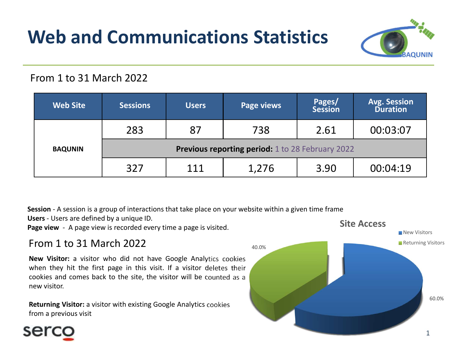# Web and Communications Statistics



### From 1 to 31 March 2022

| From 1 to 31 March 2022 |                                                                                                                                                                                                                    |              |                                                                                                          |                          |                                        |
|-------------------------|--------------------------------------------------------------------------------------------------------------------------------------------------------------------------------------------------------------------|--------------|----------------------------------------------------------------------------------------------------------|--------------------------|----------------------------------------|
| <b>Web Site</b>         | <b>Sessions</b>                                                                                                                                                                                                    | <b>Users</b> | <b>Page views</b>                                                                                        | Pages/<br><b>Session</b> | <b>Avg. Session</b><br><b>Duration</b> |
| <b>BAQUNIN</b>          | 283                                                                                                                                                                                                                | 87           | 738                                                                                                      | 2.61                     | 00:03:07                               |
|                         | <b>Previous reporting period:</b> 1 to 28 February 2022                                                                                                                                                            |              |                                                                                                          |                          |                                        |
|                         | 327                                                                                                                                                                                                                | 111          | 1,276                                                                                                    | 3.90                     | 00:04:19                               |
|                         | Users - Users are defined by a unique ID.<br>Page view - A page view is recorded every time a page is visited.                                                                                                     |              | Session - A session is a group of interactions that take place on your website within a given time frame |                          | <b>Site Access</b><br>New Visitors     |
|                         | From 1 to 31 March 2022                                                                                                                                                                                            |              | 40.0%                                                                                                    |                          | Returning Visitors                     |
|                         |                                                                                                                                                                                                                    |              |                                                                                                          |                          |                                        |
| new visitor.            | New Visitor: a visitor who did not have Google Analytics cookies<br>when they hit the first page in this visit. If a visitor deletes their<br>cookies and comes back to the site, the visitor will be counted as a |              |                                                                                                          |                          |                                        |
| from a previous visit   | Returning Visitor: a visitor with existing Google Analytics cookies                                                                                                                                                |              |                                                                                                          |                          |                                        |

### From 1 to 31 March 2022

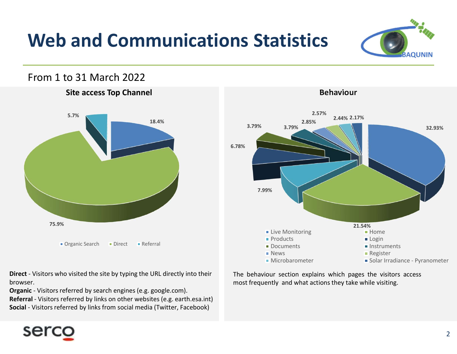# Web and Communications Statistics



#### From 1 to 31 March 2022





browser.